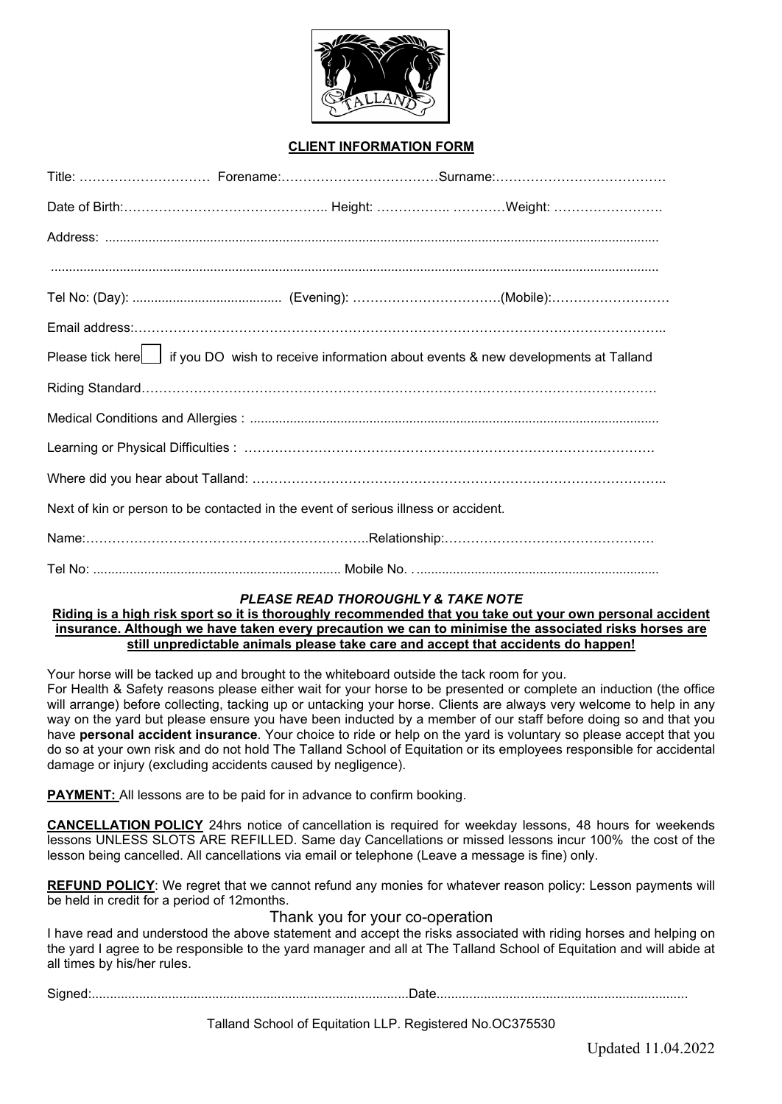

## **CLIENT INFORMATION FORM**

|  | Please tick here   if you DO wish to receive information about events & new developments at Talland<br>Next of kin or person to be contacted in the event of serious illness or accident. |
|--|-------------------------------------------------------------------------------------------------------------------------------------------------------------------------------------------|

# *PLEASE READ THOROUGHLY & TAKE NOTE*

**Riding is a high risk sport so it is thoroughly recommended that you take out your own personal accident insurance. Although we have taken every precaution we can to minimise the associated risks horses are still unpredictable animals please take care and accept that accidents do happen!**

Your horse will be tacked up and brought to the whiteboard outside the tack room for you. For Health & Safety reasons please either wait for your horse to be presented or complete an induction (the office will arrange) before collecting, tacking up or untacking your horse. Clients are always very welcome to help in any way on the yard but please ensure you have been inducted by a member of our staff before doing so and that you have **personal accident insurance**. Your choice to ride or help on the yard is voluntary so please accept that you do so at your own risk and do not hold The Talland School of Equitation or its employees responsible for accidental damage or injury (excluding accidents caused by negligence).

**PAYMENT:** All lessons are to be paid for in advance to confirm booking.

**CANCELLATION POLICY** 24hrs notice of cancellation is required for weekday lessons, 48 hours for weekends lessons UNLESS SLOTS ARE REFILLED. Same day Cancellations or missed lessons incur 100% the cost of the lesson being cancelled. All cancellations via email or telephone (Leave a message is fine) only.

**REFUND POLICY**: We regret that we cannot refund any monies for whatever reason policy: Lesson payments will be held in credit for a period of 12months.

## Thank you for your co-operation

I have read and understood the above statement and accept the risks associated with riding horses and helping on the yard I agree to be responsible to the yard manager and all at The Talland School of Equitation and will abide at all times by his/her rules.

Signed:.......................................................................................Date.....................................................................

Talland School of Equitation LLP. Registered No.OC375530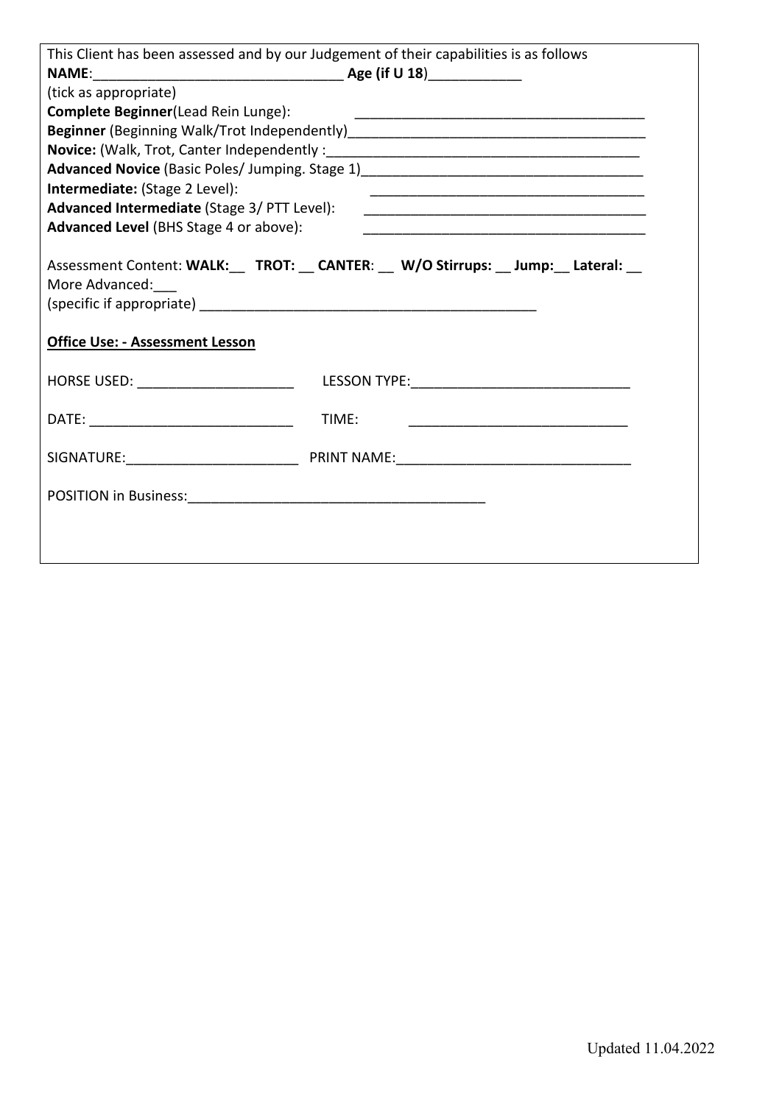|                                                          | This Client has been assessed and by our Judgement of their capabilities is as follows |
|----------------------------------------------------------|----------------------------------------------------------------------------------------|
|                                                          |                                                                                        |
| (tick as appropriate)                                    |                                                                                        |
| Complete Beginner(Lead Rein Lunge):                      |                                                                                        |
|                                                          |                                                                                        |
| <b>Novice:</b> (Walk, Trot, Canter Independently:        |                                                                                        |
|                                                          |                                                                                        |
| Intermediate: (Stage 2 Level):                           |                                                                                        |
| Advanced Intermediate (Stage 3/ PTT Level):              |                                                                                        |
| <b>Advanced Level</b> (BHS Stage 4 or above):            |                                                                                        |
| More Advanced:<br><b>Office Use: - Assessment Lesson</b> | Assessment Content: WALK:__ TROT: __ CANTER: __ W/O Stirrups: __ Jump: __ Lateral: __  |
| HORSE USED: _________________________                    |                                                                                        |
|                                                          | TIME:                                                                                  |
|                                                          |                                                                                        |
|                                                          |                                                                                        |
|                                                          |                                                                                        |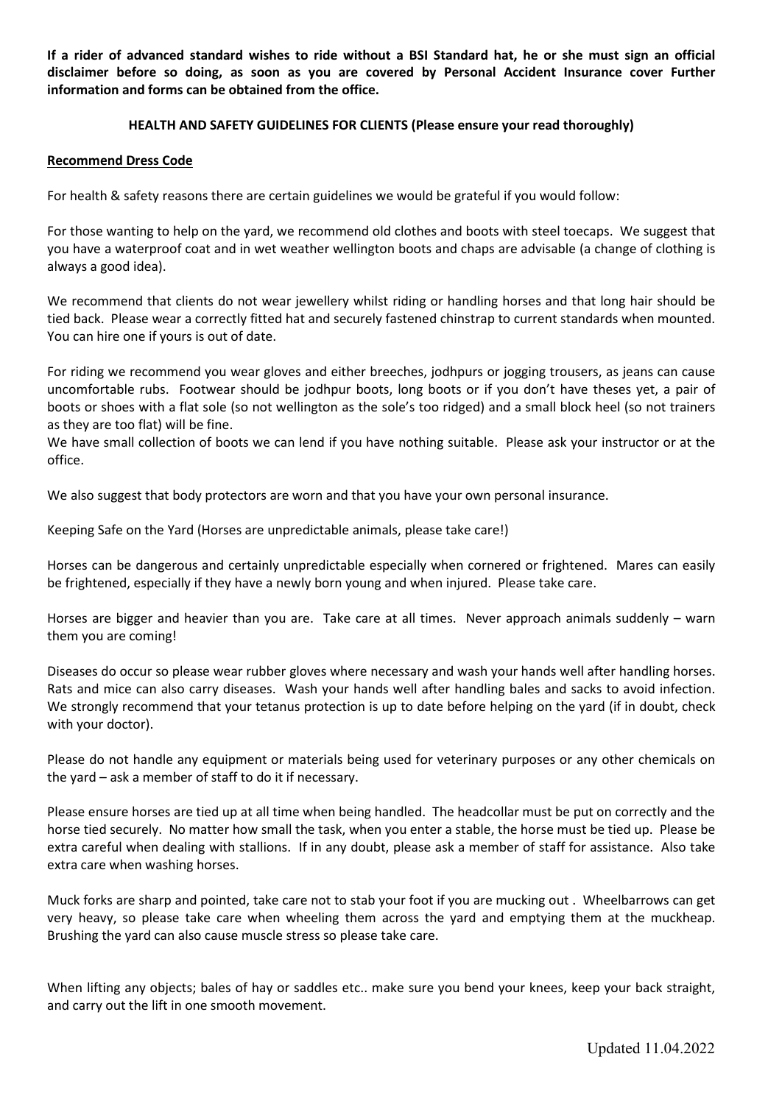**If a rider of advanced standard wishes to ride without a BSI Standard hat, he or she must sign an official disclaimer before so doing, as soon as you are covered by Personal Accident Insurance cover Further information and forms can be obtained from the office.**

## **HEALTH AND SAFETY GUIDELINES FOR CLIENTS (Please ensure your read thoroughly)**

### **Recommend Dress Code**

For health & safety reasons there are certain guidelines we would be grateful if you would follow:

For those wanting to help on the yard, we recommend old clothes and boots with steel toecaps. We suggest that you have a waterproof coat and in wet weather wellington boots and chaps are advisable (a change of clothing is always a good idea).

We recommend that clients do not wear jewellery whilst riding or handling horses and that long hair should be tied back. Please wear a correctly fitted hat and securely fastened chinstrap to current standards when mounted. You can hire one if yours is out of date.

For riding we recommend you wear gloves and either breeches, jodhpurs or jogging trousers, as jeans can cause uncomfortable rubs. Footwear should be jodhpur boots, long boots or if you don't have theses yet, a pair of boots or shoes with a flat sole (so not wellington as the sole's too ridged) and a small block heel (so not trainers as they are too flat) will be fine.

We have small collection of boots we can lend if you have nothing suitable. Please ask your instructor or at the office.

We also suggest that body protectors are worn and that you have your own personal insurance.

Keeping Safe on the Yard (Horses are unpredictable animals, please take care!)

Horses can be dangerous and certainly unpredictable especially when cornered or frightened. Mares can easily be frightened, especially if they have a newly born young and when injured. Please take care.

Horses are bigger and heavier than you are. Take care at all times. Never approach animals suddenly – warn them you are coming!

Diseases do occur so please wear rubber gloves where necessary and wash your hands well after handling horses. Rats and mice can also carry diseases. Wash your hands well after handling bales and sacks to avoid infection. We strongly recommend that your tetanus protection is up to date before helping on the yard (if in doubt, check with your doctor).

Please do not handle any equipment or materials being used for veterinary purposes or any other chemicals on the yard – ask a member of staff to do it if necessary.

Please ensure horses are tied up at all time when being handled. The headcollar must be put on correctly and the horse tied securely. No matter how small the task, when you enter a stable, the horse must be tied up. Please be extra careful when dealing with stallions. If in any doubt, please ask a member of staff for assistance. Also take extra care when washing horses.

Muck forks are sharp and pointed, take care not to stab your foot if you are mucking out . Wheelbarrows can get very heavy, so please take care when wheeling them across the yard and emptying them at the muckheap. Brushing the yard can also cause muscle stress so please take care.

When lifting any objects; bales of hay or saddles etc.. make sure you bend your knees, keep your back straight, and carry out the lift in one smooth movement.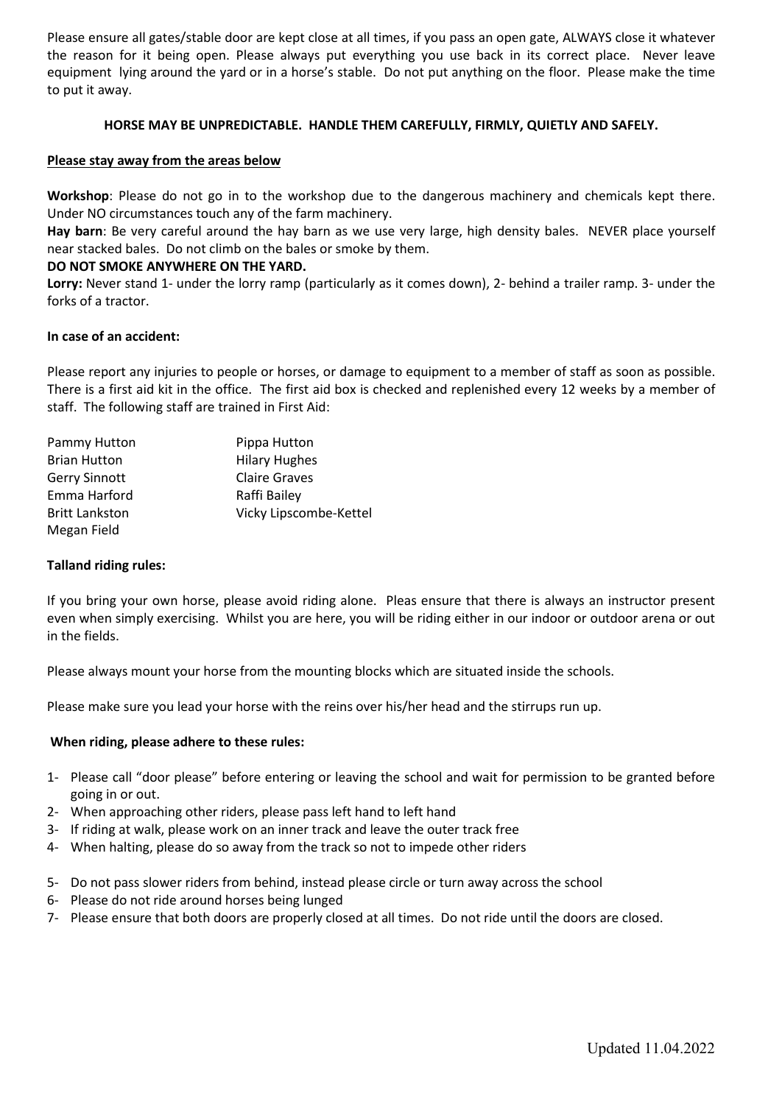Please ensure all gates/stable door are kept close at all times, if you pass an open gate, ALWAYS close it whatever the reason for it being open. Please always put everything you use back in its correct place. Never leave equipment lying around the yard or in a horse's stable. Do not put anything on the floor. Please make the time to put it away.

## **HORSE MAY BE UNPREDICTABLE. HANDLE THEM CAREFULLY, FIRMLY, QUIETLY AND SAFELY.**

### **Please stay away from the areas below**

**Workshop**: Please do not go in to the workshop due to the dangerous machinery and chemicals kept there. Under NO circumstances touch any of the farm machinery.

**Hay barn**: Be very careful around the hay barn as we use very large, high density bales. NEVER place yourself near stacked bales. Do not climb on the bales or smoke by them.

### **DO NOT SMOKE ANYWHERE ON THE YARD.**

**Lorry:** Never stand 1- under the lorry ramp (particularly as it comes down), 2- behind a trailer ramp. 3- under the forks of a tractor.

### **In case of an accident:**

Please report any injuries to people or horses, or damage to equipment to a member of staff as soon as possible. There is a first aid kit in the office. The first aid box is checked and replenished every 12 weeks by a member of staff. The following staff are trained in First Aid:

| Pammy Hutton          | Pippa Hutton           |
|-----------------------|------------------------|
| <b>Brian Hutton</b>   | <b>Hilary Hughes</b>   |
| <b>Gerry Sinnott</b>  | <b>Claire Graves</b>   |
| Emma Harford          | Raffi Bailey           |
| <b>Britt Lankston</b> | Vicky Lipscombe-Kettel |
| Megan Field           |                        |

#### **Talland riding rules:**

If you bring your own horse, please avoid riding alone. Pleas ensure that there is always an instructor present even when simply exercising. Whilst you are here, you will be riding either in our indoor or outdoor arena or out in the fields.

Please always mount your horse from the mounting blocks which are situated inside the schools.

Please make sure you lead your horse with the reins over his/her head and the stirrups run up.

#### **When riding, please adhere to these rules:**

- 1- Please call "door please" before entering or leaving the school and wait for permission to be granted before going in or out.
- 2- When approaching other riders, please pass left hand to left hand
- 3- If riding at walk, please work on an inner track and leave the outer track free
- 4- When halting, please do so away from the track so not to impede other riders
- 5- Do not pass slower riders from behind, instead please circle or turn away across the school
- 6- Please do not ride around horses being lunged
- 7- Please ensure that both doors are properly closed at all times. Do not ride until the doors are closed.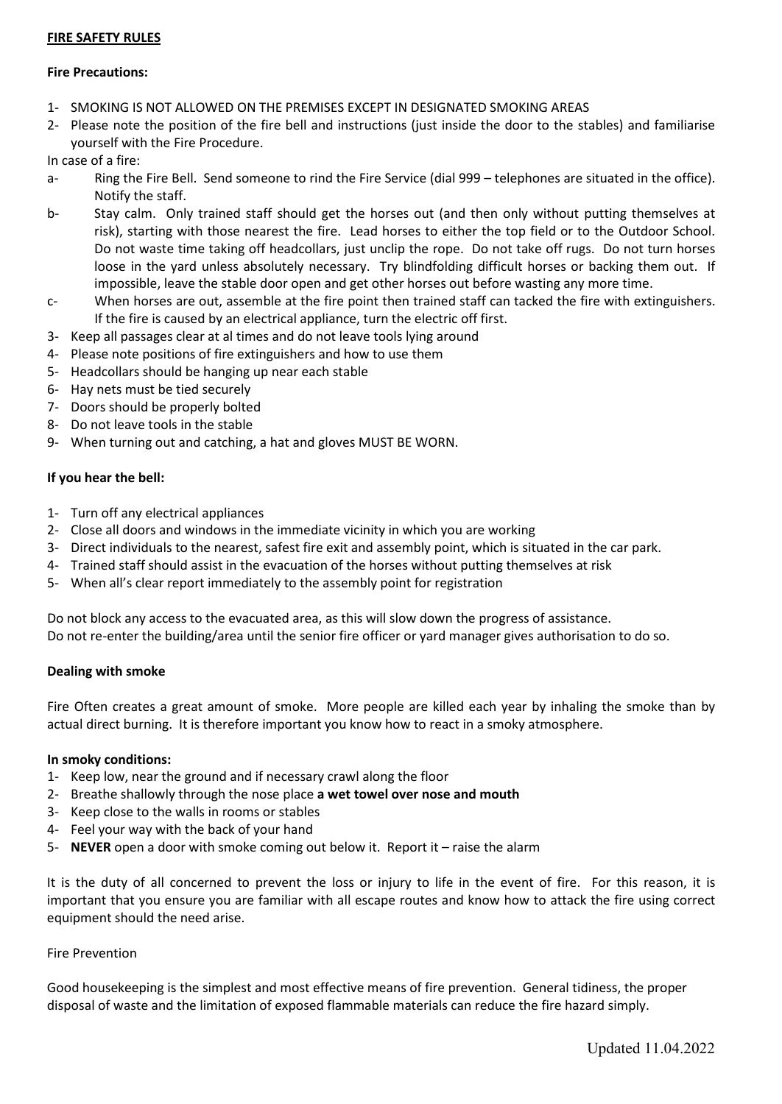## **FIRE SAFETY RULES**

## **Fire Precautions:**

- 1- SMOKING IS NOT ALLOWED ON THE PREMISES EXCEPT IN DESIGNATED SMOKING AREAS
- 2- Please note the position of the fire bell and instructions (just inside the door to the stables) and familiarise yourself with the Fire Procedure.

In case of a fire:

- a- Ring the Fire Bell. Send someone to rind the Fire Service (dial 999 telephones are situated in the office). Notify the staff.
- b- Stay calm. Only trained staff should get the horses out (and then only without putting themselves at risk), starting with those nearest the fire. Lead horses to either the top field or to the Outdoor School. Do not waste time taking off headcollars, just unclip the rope. Do not take off rugs. Do not turn horses loose in the yard unless absolutely necessary. Try blindfolding difficult horses or backing them out. If impossible, leave the stable door open and get other horses out before wasting any more time.
- c- When horses are out, assemble at the fire point then trained staff can tacked the fire with extinguishers. If the fire is caused by an electrical appliance, turn the electric off first.
- 3- Keep all passages clear at al times and do not leave tools lying around
- 4- Please note positions of fire extinguishers and how to use them
- 5- Headcollars should be hanging up near each stable
- 6- Hay nets must be tied securely
- 7- Doors should be properly bolted
- 8- Do not leave tools in the stable
- 9- When turning out and catching, a hat and gloves MUST BE WORN.

### **If you hear the bell:**

- 1- Turn off any electrical appliances
- 2- Close all doors and windows in the immediate vicinity in which you are working
- 3- Direct individuals to the nearest, safest fire exit and assembly point, which is situated in the car park.
- 4- Trained staff should assist in the evacuation of the horses without putting themselves at risk
- 5- When all's clear report immediately to the assembly point for registration

Do not block any access to the evacuated area, as this will slow down the progress of assistance. Do not re-enter the building/area until the senior fire officer or yard manager gives authorisation to do so.

#### **Dealing with smoke**

Fire Often creates a great amount of smoke. More people are killed each year by inhaling the smoke than by actual direct burning. It is therefore important you know how to react in a smoky atmosphere.

#### **In smoky conditions:**

- 1- Keep low, near the ground and if necessary crawl along the floor
- 2- Breathe shallowly through the nose place **a wet towel over nose and mouth**
- 3- Keep close to the walls in rooms or stables
- 4- Feel your way with the back of your hand
- 5- **NEVER** open a door with smoke coming out below it. Report it raise the alarm

It is the duty of all concerned to prevent the loss or injury to life in the event of fire. For this reason, it is important that you ensure you are familiar with all escape routes and know how to attack the fire using correct equipment should the need arise.

#### Fire Prevention

Good housekeeping is the simplest and most effective means of fire prevention. General tidiness, the proper disposal of waste and the limitation of exposed flammable materials can reduce the fire hazard simply.